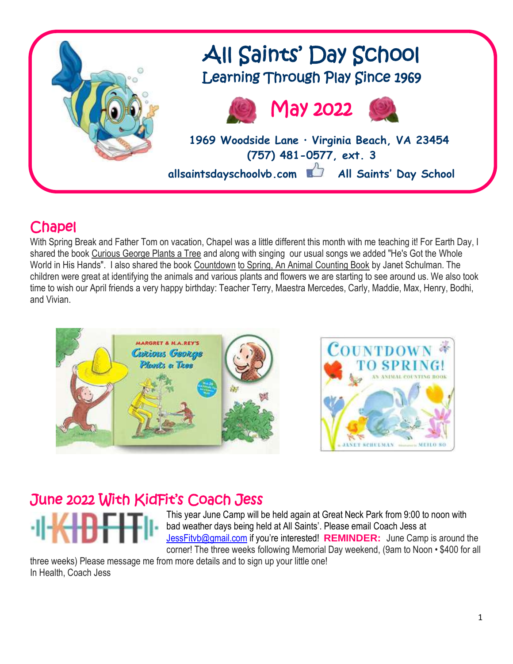

### Chapel

With Spring Break and Father Tom on vacation, Chapel was a little different this month with me teaching it! For Earth Day, I shared the book Curious George Plants a Tree and along with singing our usual songs we added "He's Got the Whole World in His Hands". I also shared the book Countdown to Spring, An Animal Counting Book by Janet Schulman. The children were great at identifying the animals and various plants and flowers we are starting to see around us. We also took time to wish our April friends a very happy birthday: Teacher Terry, Maestra Mercedes, Carly, Maddie, Max, Henry, Bodhi, and Vivian.



### June 2022 With KidFit's Coach Jess

This year June Camp will be held again at Great Neck Park from 9:00 to noon with bad weather days being held at All Saints'. Please email Coach Jess at [JessFitvb@gmail.com](mailto:JessFitvb@gmail.com) if you're interested! **REMINDER:** June Camp is around the corner! The three weeks following Memorial Day weekend, (9am to Noon • \$400 for all

three weeks) Please message me from more details and to sign up your little one! In Health, Coach Jess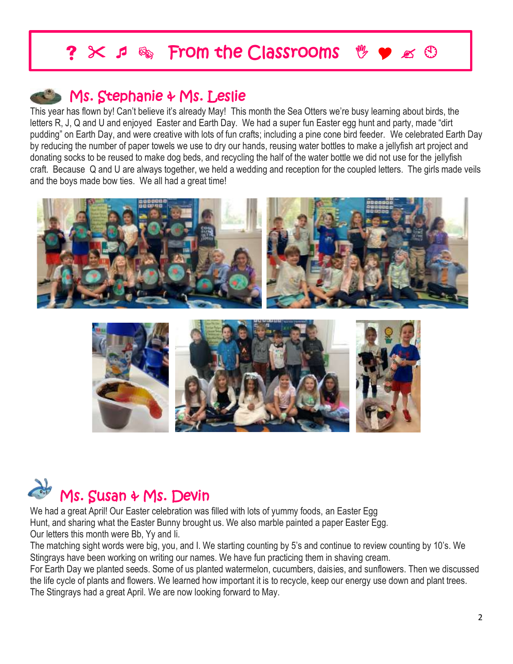## $\times$  *s*  $\otimes$  **From the Classrooms**  $\mathcal{Y} \bullet \mathcal{Z}$

### **Ms. Stephanie & Ms. Leslie**

I I Ļ

This year has flown by! Can't believe it's already May! This month the Sea Otters we're busy learning about birds, the letters R, J, Q and U and enjoyed Easter and Earth Day. We had a super fun Easter egg hunt and party, made "dirt pudding" on Earth Day, and were creative with lots of fun crafts; including a pine cone bird feeder. We celebrated Earth Day by reducing the number of paper towels we use to dry our hands, reusing water bottles to make a jellyfish art project and donating socks to be reused to make dog beds, and recycling the half of the water bottle we did not use for the jellyfish craft. Because Q and U are always together, we held a wedding and reception for the coupled letters. The girls made veils and the boys made bow ties. We all had a great time!







We had a great April! Our Easter celebration was filled with lots of yummy foods, an Easter Egg Hunt, and sharing what the Easter Bunny brought us. We also marble painted a paper Easter Egg. Our letters this month were Bb, Yy and Ii.

The matching sight words were big, you, and I. We starting counting by 5's and continue to review counting by 10's. We Stingrays have been working on writing our names. We have fun practicing them in shaving cream.

For Earth Day we planted seeds. Some of us planted watermelon, cucumbers, daisies, and sunflowers. Then we discussed the life cycle of plants and flowers. We learned how important it is to recycle, keep our energy use down and plant trees. The Stingrays had a great April. We are now looking forward to May.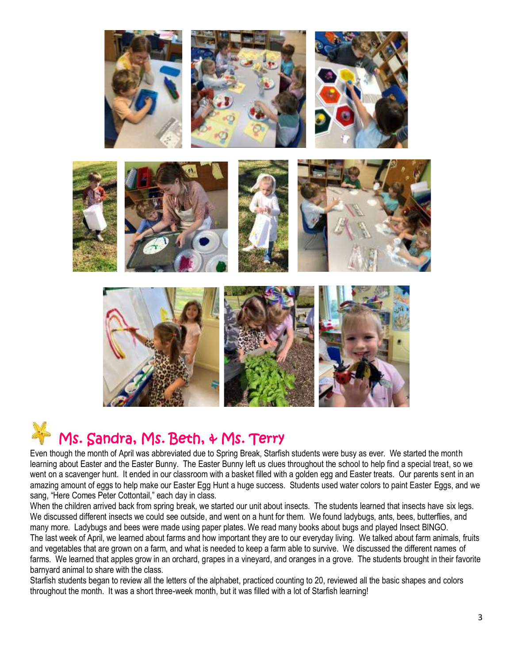

# Ms. Sandra, Ms. Beth, & Ms. Terry

Even though the month of April was abbreviated due to Spring Break, Starfish students were busy as ever. We started the month learning about Easter and the Easter Bunny. The Easter Bunny left us clues throughout the school to help find a special treat, so we went on a scavenger hunt. It ended in our classroom with a basket filled with a golden egg and Easter treats. Our parents sent in an amazing amount of eggs to help make our Easter Egg Hunt a huge success. Students used water colors to paint Easter Eggs, and we sang, "Here Comes Peter Cottontail," each day in class.

When the children arrived back from spring break, we started our unit about insects. The students learned that insects have six legs. We discussed different insects we could see outside, and went on a hunt for them. We found ladybugs, ants, bees, butterflies, and many more. Ladybugs and bees were made using paper plates. We read many books about bugs and played Insect BINGO. The last week of April, we learned about farms and how important they are to our everyday living. We talked about farm animals, fruits and vegetables that are grown on a farm, and what is needed to keep a farm able to survive. We discussed the different names of farms. We learned that apples grow in an orchard, grapes in a vineyard, and oranges in a grove. The students brought in their favorite barnyard animal to share with the class.

Starfish students began to review all the letters of the alphabet, practiced counting to 20, reviewed all the basic shapes and colors throughout the month. It was a short three-week month, but it was filled with a lot of Starfish learning!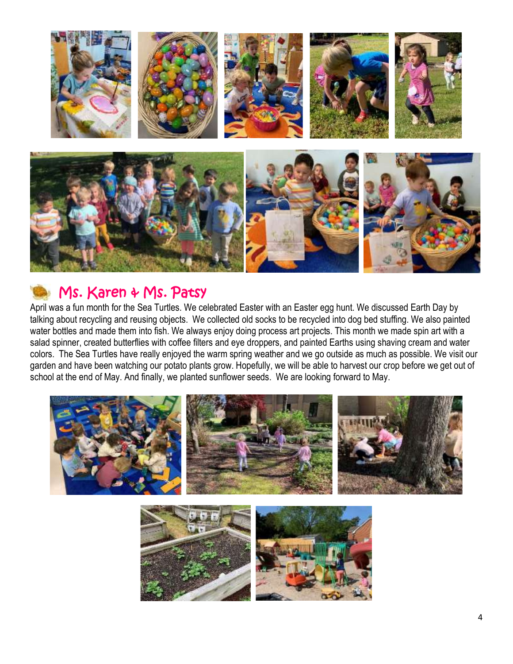

### Ms. Karen & Ms. Patsy

April was a fun month for the Sea Turtles. We celebrated Easter with an Easter egg hunt. We discussed Earth Day by talking about recycling and reusing objects. We collected old socks to be recycled into dog bed stuffing. We also painted water bottles and made them into fish. We always enjoy doing process art projects. This month we made spin art with a salad spinner, created butterflies with coffee filters and eye droppers, and painted Earths using shaving cream and water colors. The Sea Turtles have really enjoyed the warm spring weather and we go outside as much as possible. We visit our garden and have been watching our potato plants grow. Hopefully, we will be able to harvest our crop before we get out of school at the end of May. And finally, we planted sunflower seeds. We are looking forward to May.

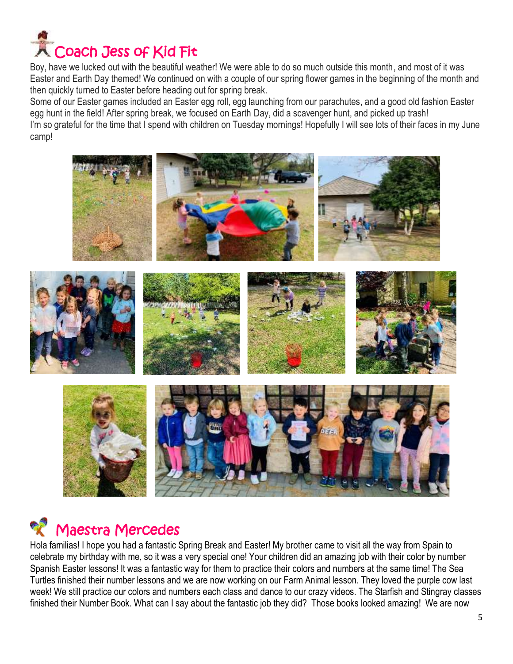

Boy, have we lucked out with the beautiful weather! We were able to do so much outside this month, and most of it was Easter and Earth Day themed! We continued on with a couple of our spring flower games in the beginning of the month and then quickly turned to Easter before heading out for spring break.

Some of our Easter games included an Easter egg roll, egg launching from our parachutes, and a good old fashion Easter egg hunt in the field! After spring break, we focused on Earth Day, did a scavenger hunt, and picked up trash! I'm so grateful for the time that I spend with children on Tuesday mornings! Hopefully I will see lots of their faces in my June camp!



# Maestra Mercedes

Hola familias! I hope you had a fantastic Spring Break and Easter! My brother came to visit all the way from Spain to celebrate my birthday with me, so it was a very special one! Your children did an amazing job with their color by number Spanish Easter lessons! It was a fantastic way for them to practice their colors and numbers at the same time! The Sea Turtles finished their number lessons and we are now working on our Farm Animal lesson. They loved the purple cow last week! We still practice our colors and numbers each class and dance to our crazy videos. The Starfish and Stingray classes finished their Number Book. What can I say about the fantastic job they did? Those books looked amazing! We are now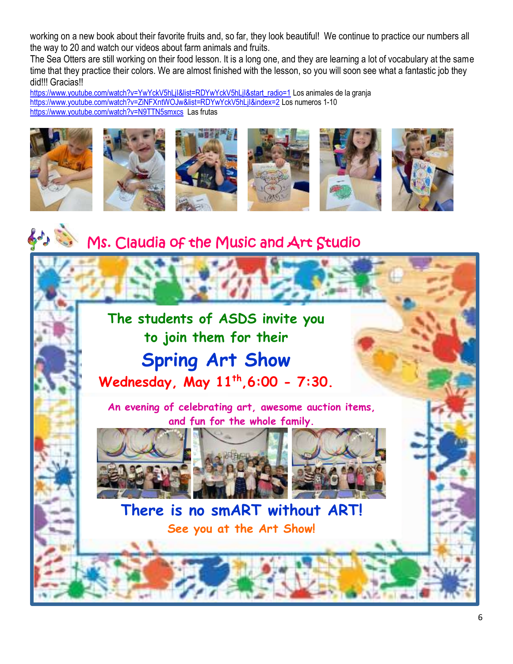working on a new book about their favorite fruits and, so far, they look beautiful! We continue to practice our numbers all the way to 20 and watch our videos about farm animals and fruits.

The Sea Otters are still working on their food lesson. It is a long one, and they are learning a lot of vocabulary at the same time that they practice their colors. We are almost finished with the lesson, so you will soon see what a fantastic job they did!!! Gracias!!

[https://www.youtube.com/watch?v=YwYckV5hLjI&list=RDYwYckV5hLjI&start\\_radio=1](https://www.youtube.com/watch?v=YwYckV5hLjI&list=RDYwYckV5hLjI&start_radio=1) Los animales de la granja <https://www.youtube.com/watch?v=ZiNFXntWOJw&list=RDYwYckV5hLjI&index=2> Los numeros 1-10 <https://www.youtube.com/watch?v=N9TTN5smxcs>Las frutas



### Ms. Claudia of the Music and Art Studio

## **The students of ASDS invite you to join them for their Spring Art Show Wednesday, May 11th ,6:00 - 7:30.**

**An evening of celebrating art, awesome auction items, and fun for the whole family.**







#### $\begin{array}{c} \begin{array}{c} \begin{array}{c} \begin{array}{c} \end{array}\\ \end{array} \end{array} \end{array} \end{array}$ **There is no smART without ART! See you at the Art Show!**